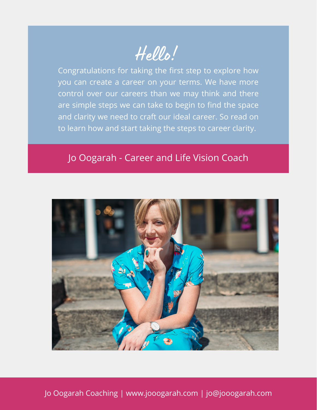Hello!

Congratulations for taking the first step to explore how you can create a career on your terms. We have more control over our careers than we may think and there are simple steps we can take to begin to find the space and clarity we need to craft our ideal career. So read on to learn how and start taking the steps to career clarity.

## Jo Oogarah - Career and Life Vision Coach



Jo Oogarah Coaching | www.jooogarah.com | jo@jooogarah.com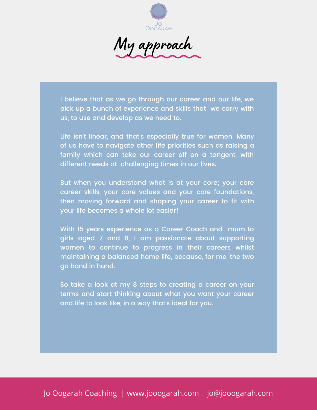

I believe that as we go through our career and our life, we pick up a bunch of experience and skills that we carry with us, to use and develop as we need to.

Life isn't linear, and that's especially true for women. Many of us have to navigate other life priorities such as raising a family which can take our career off on a tangent, with different needs at challenging times in our lives.

But when you understand what is at your core; your core career skills, your core values and your core foundations, then moving forward and shaping your career to fit with your life becomes a whole lot easier!

With 15 years experience as a Career Coach and mum to girls aged 7 and 8, I am passionate about supporting women to continue to progress in their careers whilst maintaining a balanced home life, because, for me, the two go hand in hand.

So take a look at my 8 steps to creating a career on your terms and start thinking about what you want your career and life to look like, in a way that's ideal for you.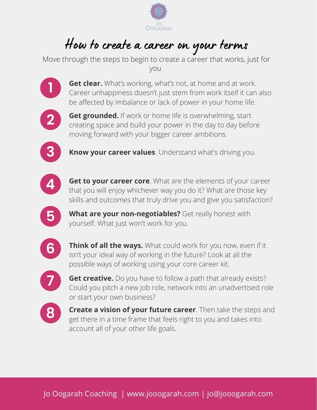

## How to create <sup>a</sup> career on your terms

Move through the steps to begin to create a career that works, just for you





**2 dece rounded.** If work or nome life is overwrielming, start creating space and build your power in the day to day before **Get grounded.** If work or home life is overwhelming, start moving forward with your bigger career ambitions.



**3 Know your career values**. Understand what's driving you.



**4 det to your career core**. What are the elements of your career<br>that you will enjoy whichever way you do it? What are those key **Get to your career core**. What are the elements of your career skills and outcomes that truly drive you and give you satisfaction?

**5** What are your non-negotiables? Ge yourself. What just won't work for you. **What are your non-negotiables?** Get really honest with



**6** Inink of all the ways. What could work for you now, even<br>isn't your ideal way of working in the future? Look at all the **Think of all the ways.** What could work for you now, even if it possible ways of working using your core career kit.



**77 Get creative.** Do you have to follow a path that already exists?<br>Could you pitch a new job role, network into an unadvertised role **Get creative.** Do you have to follow a path that already exists? or start your own business?



**8 Create a vision or your future career**. Then take the steps a get there in a time frame that feels right to you and takes into **Create a vision of your future career**. Then take the steps and account all of your other life goals.